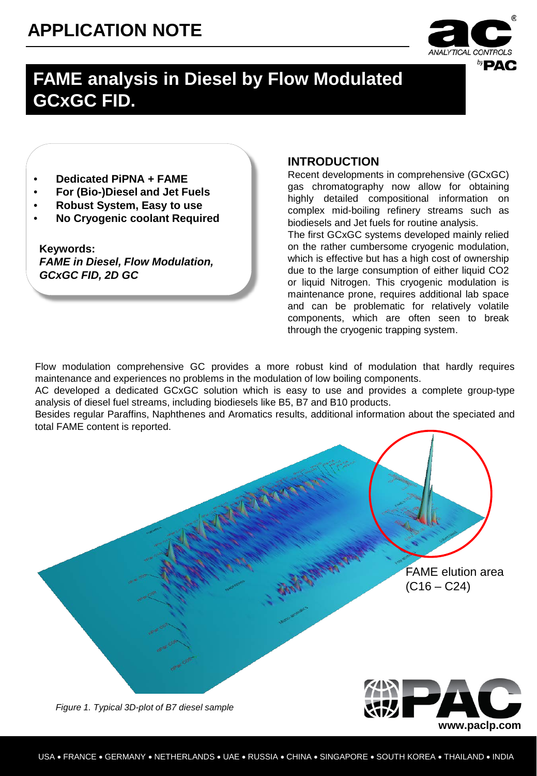# **APPLICATION NOTE**



**www.paclp.com**

## **FAME analysis in Diesel by Flow Modulated GCxGC FID.**

- **Dedicated PiPNA + FAME**
- **For (Bio-)Diesel and Jet Fuels**
- **Robust System, Easy to use**
- **No Cryogenic coolant Required**

**Keywords:** *FAME in Diesel, Flow Modulation, GCxGC FID, 2D GC*

### **INTRODUCTION**

Recent developments in comprehensive (GCxGC) gas chromatography now allow for obtaining highly detailed compositional information on complex mid-boiling refinery streams such as biodiesels and Jet fuels for routine analysis.

The first GCxGC systems developed mainly relied on the rather cumbersome cryogenic modulation, which is effective but has a high cost of ownership due to the large consumption of either liquid CO2 or liquid Nitrogen. This cryogenic modulation is maintenance prone, requires additional lab space and can be problematic for relatively volatile components, which are often seen to break through the cryogenic trapping system.

Flow modulation comprehensive GC provides a more robust kind of modulation that hardly requires maintenance and experiences no problems in the modulation of low boiling components.

AC developed a dedicated GCxGC solution which is easy to use and provides a complete group-type analysis of diesel fuel streams, including biodiesels like B5, B7 and B10 products.

Besides regular Paraffins, Naphthenes and Aromatics results, additional information about the speciated and total FAME content is reported.

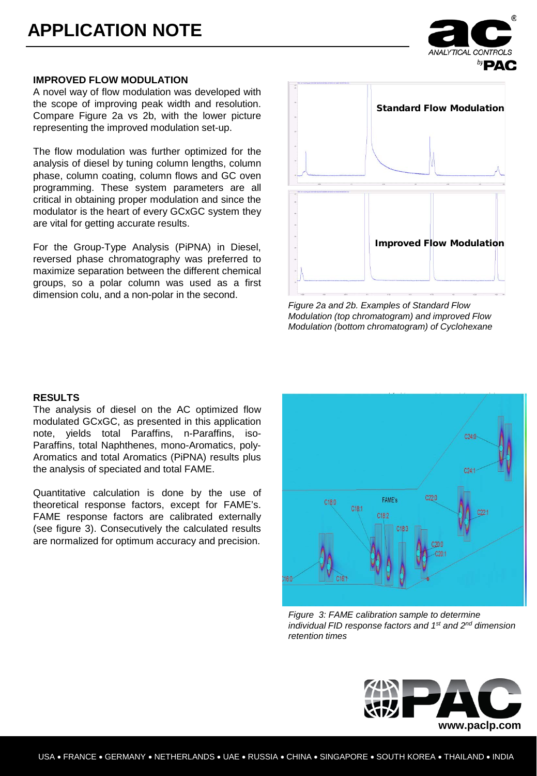

A novel way of flow modulation was developed with the scope of improving peak width and resolution. Compare Figure 2a vs 2b, with the lower picture representing the improved modulation set-up.

The flow modulation was further optimized for the analysis of diesel by tuning column lengths, column phase, column coating, column flows and GC oven programming. These system parameters are all critical in obtaining proper modulation and since the modulator is the heart of every GCxGC system they are vital for getting accurate results.

For the Group-Type Analysis (PiPNA) in Diesel, reversed phase chromatography was preferred to maximize separation between the different chemical groups, so a polar column was used as a first dimension colu, and a non-polar in the second.



*Figure 2a and 2b. Examples of Standard Flow Modulation (top chromatogram) and improved Flow Modulation (bottom chromatogram) of Cyclohexane*

#### **RESULTS**

The analysis of diesel on the AC optimized flow modulated GCxGC, as presented in this application note, yields total Paraffins, n-Paraffins, iso-Paraffins, total Naphthenes, mono-Aromatics, poly-Aromatics and total Aromatics (PiPNA) results plus the analysis of speciated and total FAME.

Quantitative calculation is done by the use of theoretical response factors, except for FAME's. FAME response factors are calibrated externally (see figure 3). Consecutively the calculated results are normalized for optimum accuracy and precision.

 $0.240$  $C220$ **FAME's**  $C18:0$  $C18:1$  $C18.2$ 16:0

*Figure 3: FAME calibration sample to determine individual FID response factors and 1st and 2nd dimension retention times* 



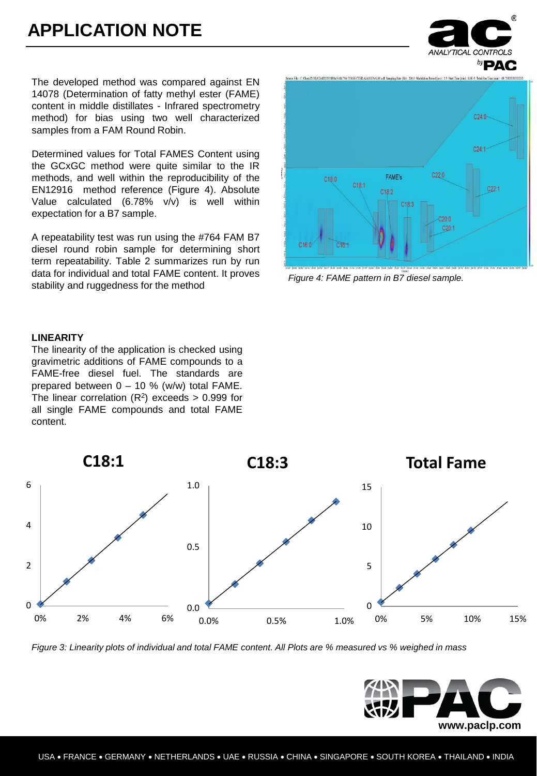The developed method was compared against EN 14078 (Determination of fatty methyl ester (FAME) content in middle distillates - Infrared spectrometry method) for bias using two well characterized samples from a FAM Round Robin.

Determined values for Total FAMES Content using the GCxGC method were quite similar to the IR methods, and well within the reproducibility of the EN12916 method reference (Figure 4). Absolute Value calculated (6.78% v/v) is well within expectation for a B7 sample.

A repeatability test was run using the #764 FAM B7 diesel round robin sample for determining short term repeatability. Table 2 summarizes run by run data for individual and total FAME content. It proves stability and ruggedness for the method

#### **LINEARITY**

The linearity of the application is checked using gravimetric additions of FAME compounds to a FAME-free diesel fuel. The standards are prepared between 0 – 10 % (w/w) total FAME. The linear correlation  $(R^2)$  exceeds > 0.999 for all single FAME compounds and total FAME content.



*Figure 4: FAME pattern in B7 diesel sample.*



*Figure 3: Linearity plots of individual and total FAME content. All Plots are % measured vs % weighed in mass*